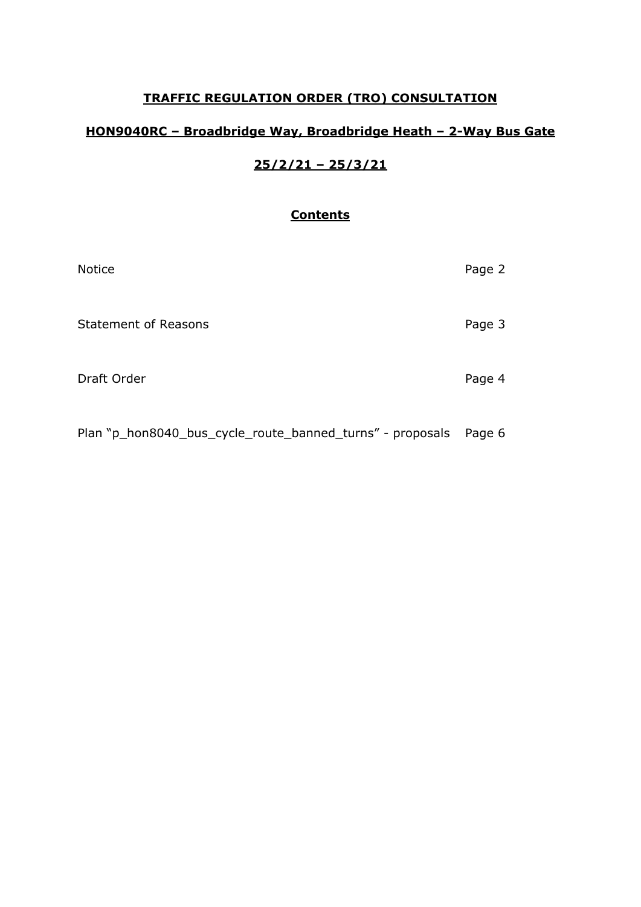## **TRAFFIC REGULATION ORDER (TRO) CONSULTATION**

## **HON9040RC – Broadbridge Way, Broadbridge Heath – 2-Way Bus Gate**

# **25/2/21 – 25/3/21**

## **Contents**

| Page 2 |
|--------|
| Page 3 |
| Page 4 |
|        |

Plan "p\_hon8040\_bus\_cycle\_route\_banned\_turns" - proposals Page 6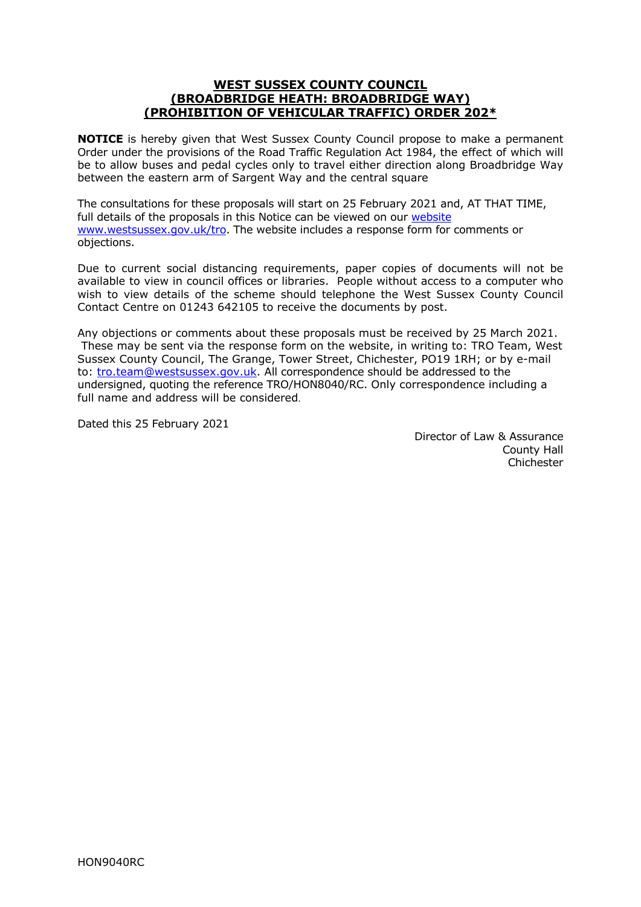#### **WEST SUSSEX COUNTY COUNCIL (BROADBRIDGE HEATH: BROADBRIDGE WAY) (PROHIBITION OF VEHICULAR TRAFFIC) ORDER 202\***

**NOTICE** is hereby given that West Sussex County Council propose to make a permanent Order under the provisions of the Road Traffic Regulation Act 1984, the effect of which will be to allow buses and pedal cycles only to travel either direction along Broadbridge Way between the eastern arm of Sargent Way and the central square

The consultations for these proposals will start on 25 February 2021 and, AT THAT TIME, full details of the proposals in this Notice can be viewed on our [website](https://www.westsussex.gov.uk/roads-and-travel/traffic-regulation-orders/) [www.westsussex.gov.uk/tro.](http://www.westsussex.gov.uk/tro) The website includes a response form for comments or objections.

Due to current social distancing requirements, paper copies of documents will not be available to view in council offices or libraries. People without access to a computer who wish to view details of the scheme should telephone the West Sussex County Council Contact Centre on 01243 642105 to receive the documents by post.

Any objections or comments about these proposals must be received by 25 March 2021. These may be sent via the response form on the website, in writing to: TRO Team, West Sussex County Council, The Grange, Tower Street, Chichester, PO19 1RH; or by e-mail to: [tro.team@westsussex.gov.uk.](mailto:tro.team@westsussex.gov.uk) All correspondence should be addressed to the undersigned, quoting the reference TRO/HON8040/RC. Only correspondence including a full name and address will be considered.

Dated this 25 February 2021

 Director of Law & Assurance County Hall Chichester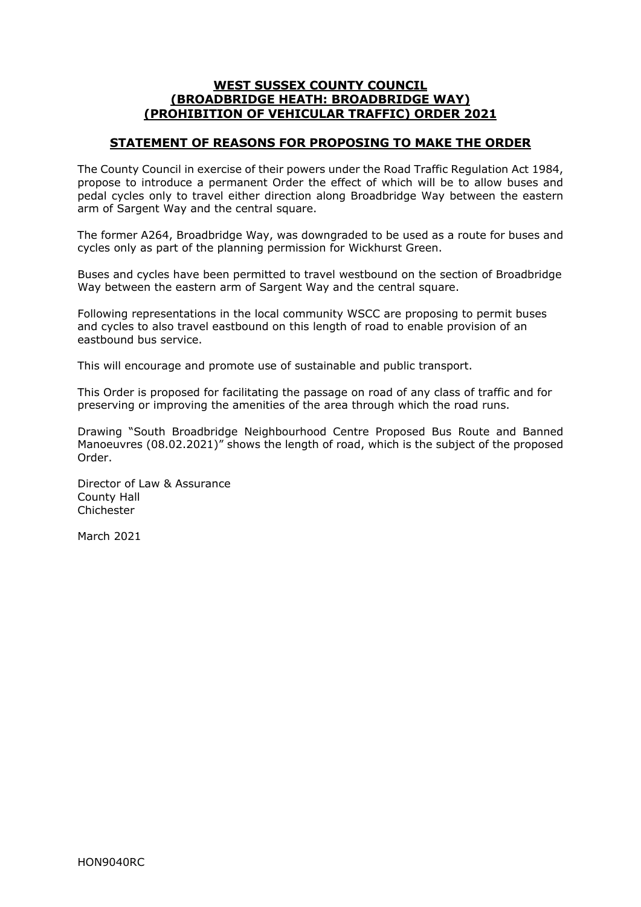#### **WEST SUSSEX COUNTY COUNCIL (BROADBRIDGE HEATH: BROADBRIDGE WAY) (PROHIBITION OF VEHICULAR TRAFFIC) ORDER 2021**

### **STATEMENT OF REASONS FOR PROPOSING TO MAKE THE ORDER**

The County Council in exercise of their powers under the Road Traffic Regulation Act 1984, propose to introduce a permanent Order the effect of which will be to allow buses and pedal cycles only to travel either direction along Broadbridge Way between the eastern arm of Sargent Way and the central square.

The former A264, Broadbridge Way, was downgraded to be used as a route for buses and cycles only as part of the planning permission for Wickhurst Green.

Buses and cycles have been permitted to travel westbound on the section of Broadbridge Way between the eastern arm of Sargent Way and the central square.

Following representations in the local community WSCC are proposing to permit buses and cycles to also travel eastbound on this length of road to enable provision of an eastbound bus service.

This will encourage and promote use of sustainable and public transport.

This Order is proposed for facilitating the passage on road of any class of traffic and for preserving or improving the amenities of the area through which the road runs.

Drawing "South Broadbridge Neighbourhood Centre Proposed Bus Route and Banned Manoeuvres (08.02.2021)" shows the length of road, which is the subject of the proposed Order.

Director of Law & Assurance County Hall Chichester

March 2021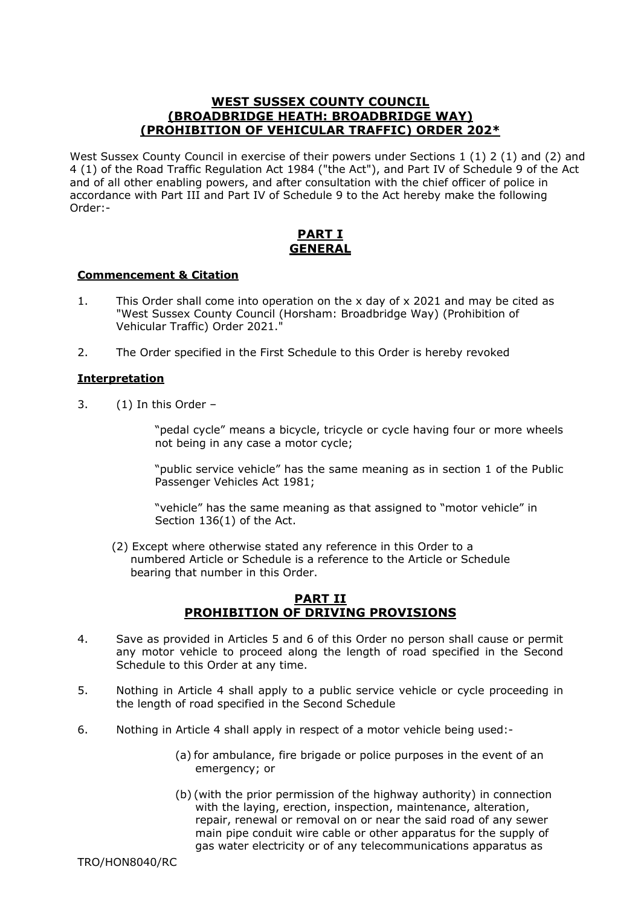#### **WEST SUSSEX COUNTY COUNCIL (BROADBRIDGE HEATH: BROADBRIDGE WAY) (PROHIBITION OF VEHICULAR TRAFFIC) ORDER 202\***

West Sussex County Council in exercise of their powers under Sections 1 (1) 2 (1) and (2) and 4 (1) of the Road Traffic Regulation Act 1984 ("the Act"), and Part IV of Schedule 9 of the Act and of all other enabling powers, and after consultation with the chief officer of police in accordance with Part III and Part IV of Schedule 9 to the Act hereby make the following Order:-

### **PART I GENERAL**

#### **Commencement & Citation**

- 1. This Order shall come into operation on the x day of x 2021 and may be cited as "West Sussex County Council (Horsham: Broadbridge Way) (Prohibition of Vehicular Traffic) Order 2021."
- 2. The Order specified in the First Schedule to this Order is hereby revoked

#### **Interpretation**

3. (1) In this Order –

 "pedal cycle" means a bicycle, tricycle or cycle having four or more wheels not being in any case a motor cycle;

 "public service vehicle" has the same meaning as in section 1 of the Public Passenger Vehicles Act 1981;

 "vehicle" has the same meaning as that assigned to "motor vehicle" in Section 136(1) of the Act.

 (2) Except where otherwise stated any reference in this Order to a numbered Article or Schedule is a reference to the Article or Schedule bearing that number in this Order.

#### **PART II PROHIBITION OF DRIVING PROVISIONS**

- 4. Save as provided in Articles 5 and 6 of this Order no person shall cause or permit any motor vehicle to proceed along the length of road specified in the Second Schedule to this Order at any time.
- 5. Nothing in Article 4 shall apply to a public service vehicle or cycle proceeding in the length of road specified in the Second Schedule
- 6. Nothing in Article 4 shall apply in respect of a motor vehicle being used:-
	- (a) for ambulance, fire brigade or police purposes in the event of an emergency; or
	- (b) (with the prior permission of the highway authority) in connection with the laying, erection, inspection, maintenance, alteration. repair, renewal or removal on or near the said road of any sewer main pipe conduit wire cable or other apparatus for the supply of gas water electricity or of any telecommunications apparatus as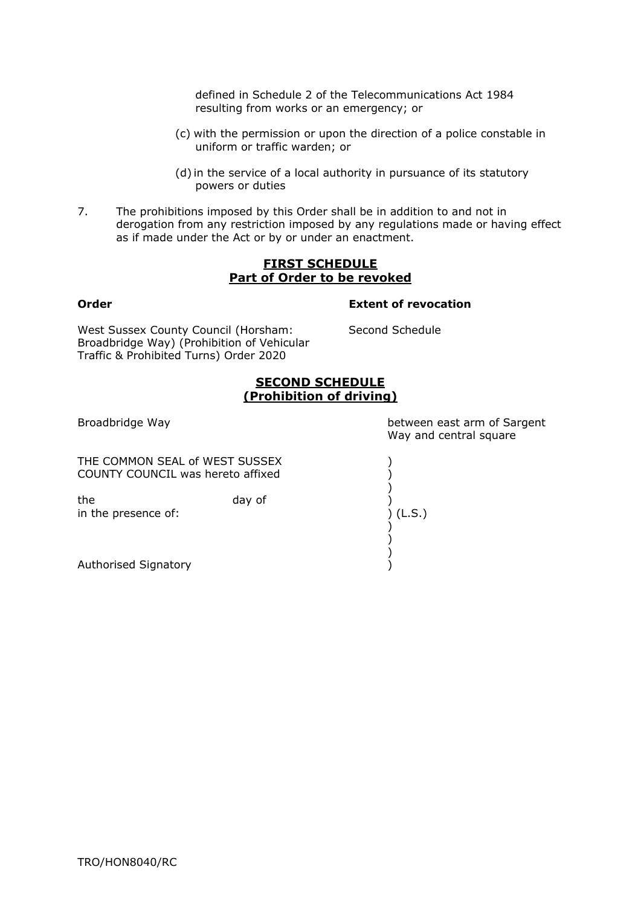defined in Schedule 2 of the Telecommunications Act 1984 resulting from works or an emergency; or

- (c) with the permission or upon the direction of a police constable in uniform or traffic warden; or
- (d) in the service of a local authority in pursuance of its statutory powers or duties
- 7. The prohibitions imposed by this Order shall be in addition to and not in derogation from any restriction imposed by any regulations made or having effect as if made under the Act or by or under an enactment.

#### **FIRST SCHEDULE Part of Order to be revoked**

#### Order

# **Extent of revocation**

West Sussex County Council (Horsham: Second Schedule Broadbridge Way) (Prohibition of Vehicular Traffic & Prohibited Turns) Order 2020

### **SECOND SCHEDULE (Prohibition of driving)**

THE COMMON SEAL of WEST SUSSEX  $)$ COUNTY COUNCIL was hereto affixed )

 ) )

 ) the day of  $\left( \begin{array}{ccc} 0 & 0 & 0 \\ 0 & 0 & 0 \\ 0 & 0 & 0 \\ 0 & 0 & 0 \end{array} \right)$  (L.S.) in the presence of:

 ) Authorised Signatory (1999)

Broadbridge Way between east arm of Sargent Way and central square